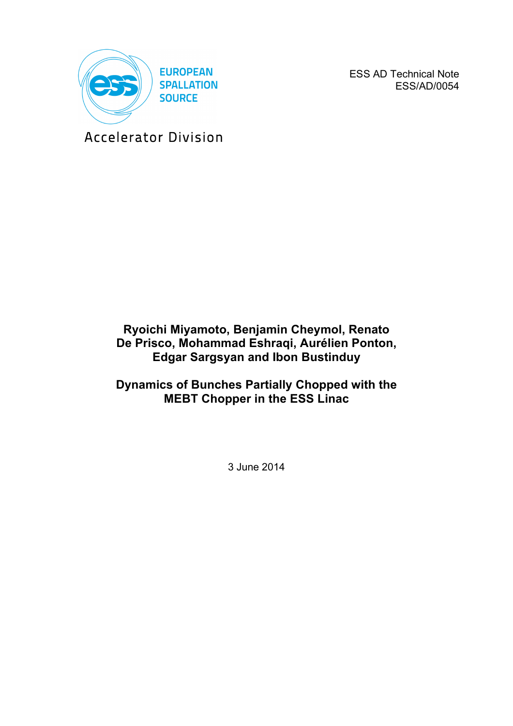

ESS AD Technical Note ESS/AD/0054

Accelerator Division

# **Ryoichi Miyamoto, Benjamin Cheymol, Renato De Prisco, Mohammad Eshraqi, Aurélien Ponton, Edgar Sargsyan and Ibon Bustinduy**

**Dynamics of Bunches Partially Chopped with the MEBT Chopper in the ESS Linac**

3 June 2014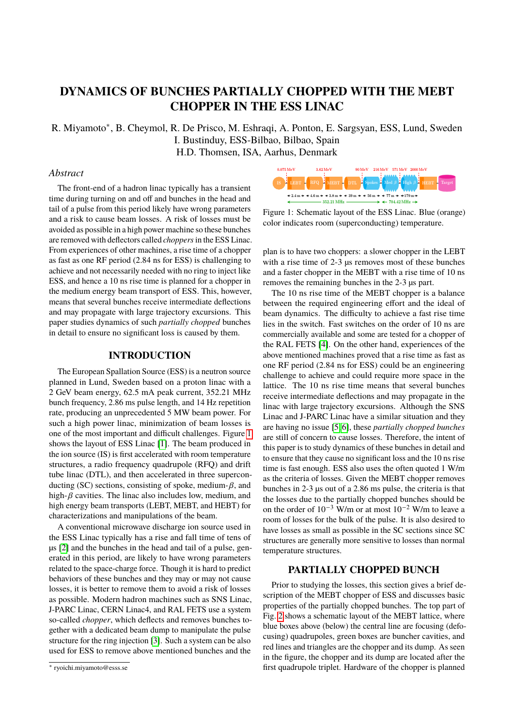## **DYNAMICS OF BUNCHES PARTIALLY CHOPPED WITH THE MEBT CHOPPER IN THE ESS LINAC**

R. Miyamoto<sup>∗</sup>, B. Cheymol, R. De Prisco, M. Eshraqi, A. Ponton, E. Sargsyan, ESS, Lund, Sweden I. Bustinduy, ESS-Bilbao, Bilbao, Spain H.D. Thomsen, ISA, Aarhus, Denmark

#### *Abstract*

The front-end of a hadron linac typically has a transient time during turning on and off and bunches in the head and tail of a pulse from this period likely have wrong parameters and a risk to cause beam losses. A risk of losses must be avoided as possible in a high power machine so these bunches are removed with deflectors called *choppers*in the ESS Linac. From experiences of other machines, a rise time of a chopper as fast as one RF period (2.84 ns for ESS) is challenging to achieve and not necessarily needed with no ring to inject like ESS, and hence a 10 ns rise time is planned for a chopper in the medium energy beam transport of ESS. This, however, means that several bunches receive intermediate deflections and may propagate with large trajectory excursions. This paper studies dynamics of such *partially chopped* bunches in detail to ensure no significant loss is caused by them.

#### **INTRODUCTION**

The European Spallation Source (ESS) is a neutron source planned in Lund, Sweden based on a proton linac with a 2 GeV beam energy, 62.5 mA peak current, 352.21 MHz bunch frequency, 2.86 ms pulse length, and 14 Hz repetition rate, producing an unprecedented 5 MW beam power. For such a high power linac, minimization of beam losses is one of the most important and difficult challenges. Figure [1](#page-1-0) shows the layout of ESS Linac [\[1\]](#page-3-0). The beam produced in the ion source (IS) is first accelerated with room temperature structures, a radio frequency quadrupole (RFQ) and drift tube linac (DTL), and then accelerated in three superconducting (SC) sections, consisting of spoke, medium- $\beta$ , and high- $\beta$  cavities. The linac also includes low, medium, and high energy beam transports (LEBT, MEBT, and HEBT) for characterizations and manipulations of the beam.

A conventional microwave discharge ion source used in the ESS Linac typically has a rise and fall time of tens of µs [\[2\]](#page-3-1) and the bunches in the head and tail of a pulse, generated in this period, are likely to have wrong parameters related to the space-charge force. Though it is hard to predict behaviors of these bunches and they may or may not cause losses, it is better to remove them to avoid a risk of losses as possible. Modern hadron machines such as SNS Linac, J-PARC Linac, CERN Linac4, and RAL FETS use a system so-called *chopper*, which deflects and removes bunches together with a dedicated beam dump to manipulate the pulse structure for the ring injection [\[3\]](#page-3-2). Such a system can be also used for ESS to remove above mentioned bunches and the

<span id="page-1-0"></span>

Figure 1: Schematic layout of the ESS Linac. Blue (orange) color indicates room (superconducting) temperature.

plan is to have two choppers: a slower chopper in the LEBT with a rise time of 2-3  $\mu$ s removes most of these bunches and a faster chopper in the MEBT with a rise time of 10 ns removes the remaining bunches in the 2-3 µs part.

The 10 ns rise time of the MEBT chopper is a balance between the required engineering effort and the ideal of beam dynamics. The difficulty to achieve a fast rise time lies in the switch. Fast switches on the order of 10 ns are commercially available and some are tested for a chopper of the RAL FETS [\[4\]](#page-3-3). On the other hand, experiences of the above mentioned machines proved that a rise time as fast as one RF period (2.84 ns for ESS) could be an engineering challenge to achieve and could require more space in the lattice. The 10 ns rise time means that several bunches receive intermediate deflections and may propagate in the linac with large trajectory excursions. Although the SNS Linac and J-PARC Linac have a similar situation and they are having no issue [\[5,](#page-3-4) [6\]](#page-3-5), these *partially chopped bunches* are still of concern to cause losses. Therefore, the intent of this paper is to study dynamics of these bunches in detail and to ensure that they cause no significant loss and the 10 ns rise time is fast enough. ESS also uses the often quoted 1 W/m as the criteria of losses. Given the MEBT chopper removes bunches in 2-3 µs out of a 2.86 ms pulse, the criteria is that the losses due to the partially chopped bunches should be on the order of  $10^{-3}$  W/m or at most  $10^{-2}$  W/m to leave a room of losses for the bulk of the pulse. It is also desired to have losses as small as possible in the SC sections since SC structures are generally more sensitive to losses than normal temperature structures.

#### **PARTIALLY CHOPPED BUNCH**

Prior to studying the losses, this section gives a brief description of the MEBT chopper of ESS and discusses basic properties of the partially chopped bunches. The top part of Fig. [2](#page-2-0) shows a schematic layout of the MEBT lattice, where blue boxes above (below) the central line are focusing (defocusing) quadrupoles, green boxes are buncher cavities, and red lines and triangles are the chopper and its dump. As seen in the figure, the chopper and its dump are located after the first quadrupole triplet. Hardware of the chopper is planned

<sup>∗</sup> ryoichi.miyamoto@esss.se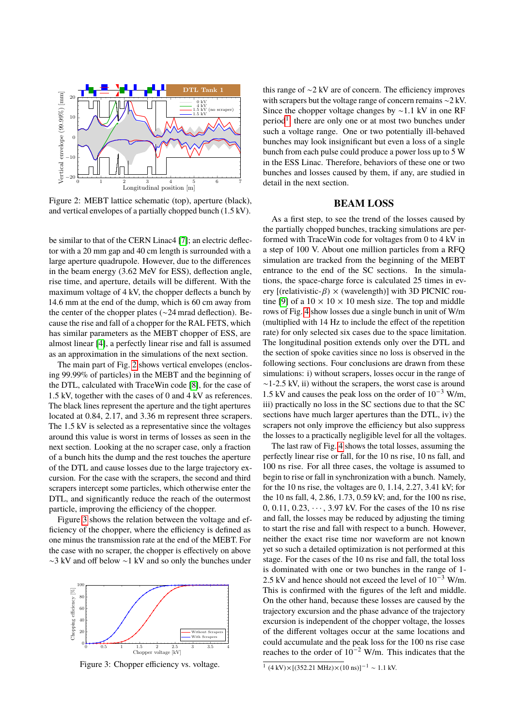<span id="page-2-0"></span>

Figure 2: MEBT lattice schematic (top), aperture (black), and vertical envelopes of a partially chopped bunch (1.5 kV).

be similar to that of the CERN Linac4 [\[7\]](#page-3-6); an electric deflector with a 20 mm gap and 40 cm length is surrounded with a large aperture quadrupole. However, due to the differences in the beam energy (3.62 MeV for ESS), deflection angle, rise time, and aperture, details will be different. With the maximum voltage of 4 kV, the chopper deflects a bunch by 14.6 mm at the end of the dump, which is 60 cm away from the center of the chopper plates (∼24 mrad deflection). Because the rise and fall of a chopper for the RAL FETS, which has similar parameters as the MEBT chopper of ESS, are almost linear [\[4\]](#page-3-3), a perfectly linear rise and fall is assumed as an approximation in the simulations of the next section.

The main part of Fig. [2](#page-2-0) shows vertical envelopes (enclosing 99.99% of particles) in the MEBT and the beginning of the DTL, calculated with TraceWin code [\[8\]](#page-3-7), for the case of 1.5 kV, together with the cases of 0 and 4 kV as references. The black lines represent the aperture and the tight apertures located at 0.84, 2.17, and 3.36 m represent three scrapers. The 1.5 kV is selected as a representative since the voltages around this value is worst in terms of losses as seen in the next section. Looking at the no scraper case, only a fraction of a bunch hits the dump and the rest touches the aperture of the DTL and cause losses due to the large trajectory excursion. For the case with the scrapers, the second and third scrapers intercept some particles, which otherwise enter the DTL, and significantly reduce the reach of the outermost particle, improving the efficiency of the chopper.

Figure [3](#page-2-1) shows the relation between the voltage and efficiency of the chopper, where the efficiency is defined as one minus the transmission rate at the end of the MEBT. For the case with no scraper, the chopper is effectively on above ∼3 kV and off below ∼1 kV and so only the bunches under

<span id="page-2-1"></span>

Figure 3: Chopper efficiency vs. voltage.

this range of ∼2 kV are of concern. The efficiency improves with scrapers but the voltage range of concern remains ∼2 kV. Since the chopper voltage changes by ∼1.1 kV in one RF period<sup>[1](#page-2-2)</sup>, there are only one or at most two bunches under such a voltage range. One or two potentially ill-behaved bunches may look insignificant but even a loss of a single bunch from each pulse could produce a power loss up to 5 W in the ESS Linac. Therefore, behaviors of these one or two bunches and losses caused by them, if any, are studied in detail in the next section.

#### **BEAM LOSS**

As a first step, to see the trend of the losses caused by the partially chopped bunches, tracking simulations are performed with TraceWin code for voltages from 0 to 4 kV in a step of 100 V. About one million particles from a RFQ simulation are tracked from the beginning of the MEBT entrance to the end of the SC sections. In the simulations, the space-charge force is calculated 25 times in every [(relativistic- $\beta$ ) × (wavelength)] with 3D PICNIC rou-tine [\[9\]](#page-3-8) of a  $10 \times 10 \times 10$  mesh size. The top and middle rows of Fig. [4](#page-3-9) show losses due a single bunch in unit of W/m (multiplied with 14 Hz to include the effect of the repetition rate) for only selected six cases due to the space limitation. The longitudinal position extends only over the DTL and the section of spoke cavities since no loss is observed in the following sections. Four conclusions are drawn from these simulations: i) without scrapers, losses occur in the range of  $~1$ -2.5 kV, ii) without the scrapers, the worst case is around 1.5 kV and causes the peak loss on the order of  $10^{-3}$  W/m, iii) practically no loss in the SC sections due to that the SC sections have much larger apertures than the DTL, iv) the scrapers not only improve the efficiency but also suppress the losses to a practically negligible level for all the voltages.

The last raw of Fig. [4](#page-3-9) shows the total losses, assuming the perfectly linear rise or fall, for the 10 ns rise, 10 ns fall, and 100 ns rise. For all three cases, the voltage is assumed to begin to rise or fall in synchronization with a bunch. Namely, for the 10 ns rise, the voltages are 0, 1.14, 2.27, 3.41 kV; for the 10 ns fall, 4, 2.86, 1.73, 0.59 kV; and, for the 100 ns rise, 0, 0.11, 0.23,  $\cdots$ , 3.97 kV. For the cases of the 10 ns rise and fall, the losses may be reduced by adjusting the timing to start the rise and fall with respect to a bunch. However, neither the exact rise time nor waveform are not known yet so such a detailed optimization is not performed at this stage. For the cases of the 10 ns rise and fall, the total loss is dominated with one or two bunches in the range of 1- 2.5 kV and hence should not exceed the level of 10−<sup>3</sup> W/m. This is confirmed with the figures of the left and middle. On the other hand, because these losses are caused by the trajectory excursion and the phase advance of the trajectory excursion is independent of the chopper voltage, the losses of the different voltages occur at the same locations and could accumulate and the peak loss for the 100 ns rise case reaches to the order of  $10^{-2}$  W/m. This indicates that the

<span id="page-2-2"></span> $1 (4 \text{ kV}) \times [(352.21 \text{ MHz}) \times (10 \text{ ns})]^{-1} \sim 1.1 \text{ kV}$ .